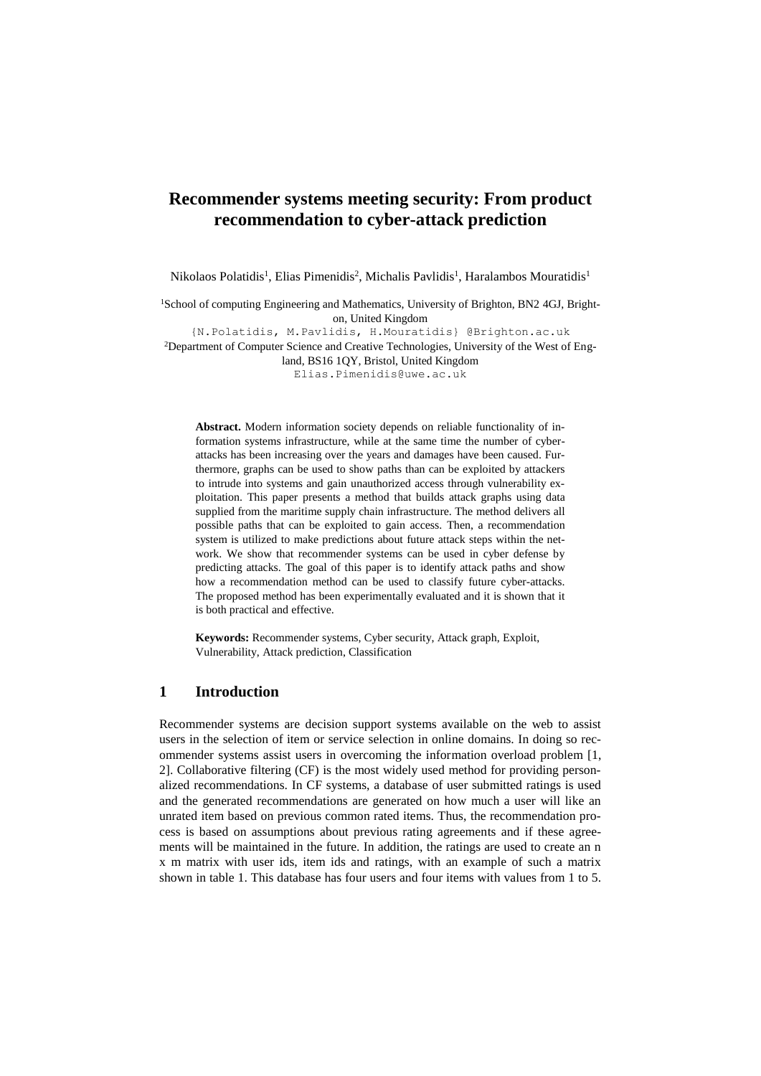# **Recommender systems meeting security: From product recommendation to cyber-attack prediction**

Nikolaos Polatidis<sup>1</sup>, Elias Pimenidis<sup>2</sup>, Michalis Pavlidis<sup>1</sup>, Haralambos Mouratidis<sup>1</sup>

<sup>1</sup>School of computing Engineering and Mathematics, University of Brighton, BN2 4GJ, Brighton, United Kingdom

[{N.Polatidis, M.Pavlidis, H.Mouratidis}](mailto:N.Polatidis,%20M.Pavlidis,%20H.Mouratidis%7d@Brighton.ac.uk) @Brighton.ac.uk

2Department of Computer Science and Creative Technologies, University of the West of England, BS16 1QY, Bristol, United Kingdom

[Elias.Pimenidis@uwe.ac.uk](mailto:Elias.Pimenidis@uwe.ac.uk)

**Abstract.** Modern information society depends on reliable functionality of information systems infrastructure, while at the same time the number of cyberattacks has been increasing over the years and damages have been caused. Furthermore, graphs can be used to show paths than can be exploited by attackers to intrude into systems and gain unauthorized access through vulnerability exploitation. This paper presents a method that builds attack graphs using data supplied from the maritime supply chain infrastructure. The method delivers all possible paths that can be exploited to gain access. Then, a recommendation system is utilized to make predictions about future attack steps within the network. We show that recommender systems can be used in cyber defense by predicting attacks. The goal of this paper is to identify attack paths and show how a recommendation method can be used to classify future cyber-attacks. The proposed method has been experimentally evaluated and it is shown that it is both practical and effective.

**Keywords:** Recommender systems, Cyber security, Attack graph, Exploit, Vulnerability, Attack prediction, Classification

## **1 Introduction**

Recommender systems are decision support systems available on the web to assist users in the selection of item or service selection in online domains. In doing so recommender systems assist users in overcoming the information overload problem [1, 2]. Collaborative filtering (CF) is the most widely used method for providing personalized recommendations. In CF systems, a database of user submitted ratings is used and the generated recommendations are generated on how much a user will like an unrated item based on previous common rated items. Thus, the recommendation process is based on assumptions about previous rating agreements and if these agreements will be maintained in the future. In addition, the ratings are used to create an n x m matrix with user ids, item ids and ratings, with an example of such a matrix shown in table 1. This database has four users and four items with values from 1 to 5.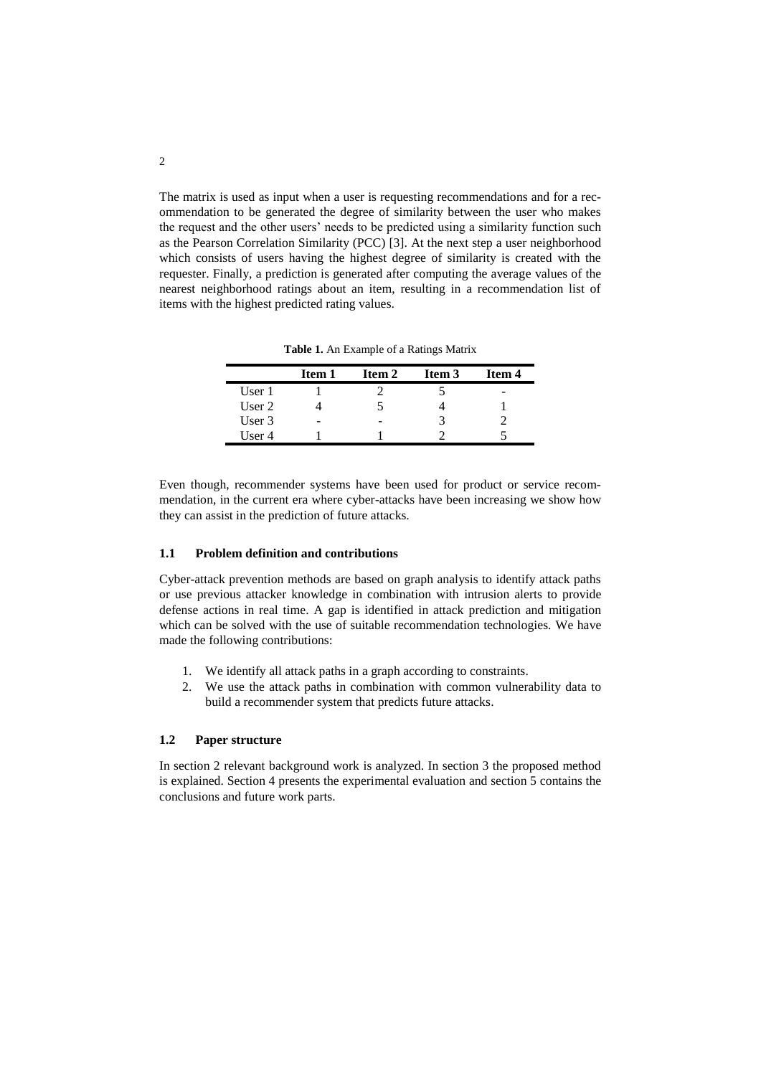The matrix is used as input when a user is requesting recommendations and for a recommendation to be generated the degree of similarity between the user who makes the request and the other users' needs to be predicted using a similarity function such as the Pearson Correlation Similarity (PCC) [3]. At the next step a user neighborhood which consists of users having the highest degree of similarity is created with the requester. Finally, a prediction is generated after computing the average values of the nearest neighborhood ratings about an item, resulting in a recommendation list of items with the highest predicted rating values.

**Table 1.** An Example of a Ratings Matrix

|        | Item 1 | Item 2 | Item 3 | Item 4 |
|--------|--------|--------|--------|--------|
| User 1 |        |        |        | -      |
| User 2 |        |        |        |        |
| User 3 | -      |        |        |        |
| User 4 |        |        |        |        |

Even though, recommender systems have been used for product or service recommendation, in the current era where cyber-attacks have been increasing we show how they can assist in the prediction of future attacks.

### **1.1 Problem definition and contributions**

Cyber-attack prevention methods are based on graph analysis to identify attack paths or use previous attacker knowledge in combination with intrusion alerts to provide defense actions in real time. A gap is identified in attack prediction and mitigation which can be solved with the use of suitable recommendation technologies. We have made the following contributions:

- 1. We identify all attack paths in a graph according to constraints.
- 2. We use the attack paths in combination with common vulnerability data to build a recommender system that predicts future attacks.

### **1.2 Paper structure**

In section 2 relevant background work is analyzed. In section 3 the proposed method is explained. Section 4 presents the experimental evaluation and section 5 contains the conclusions and future work parts.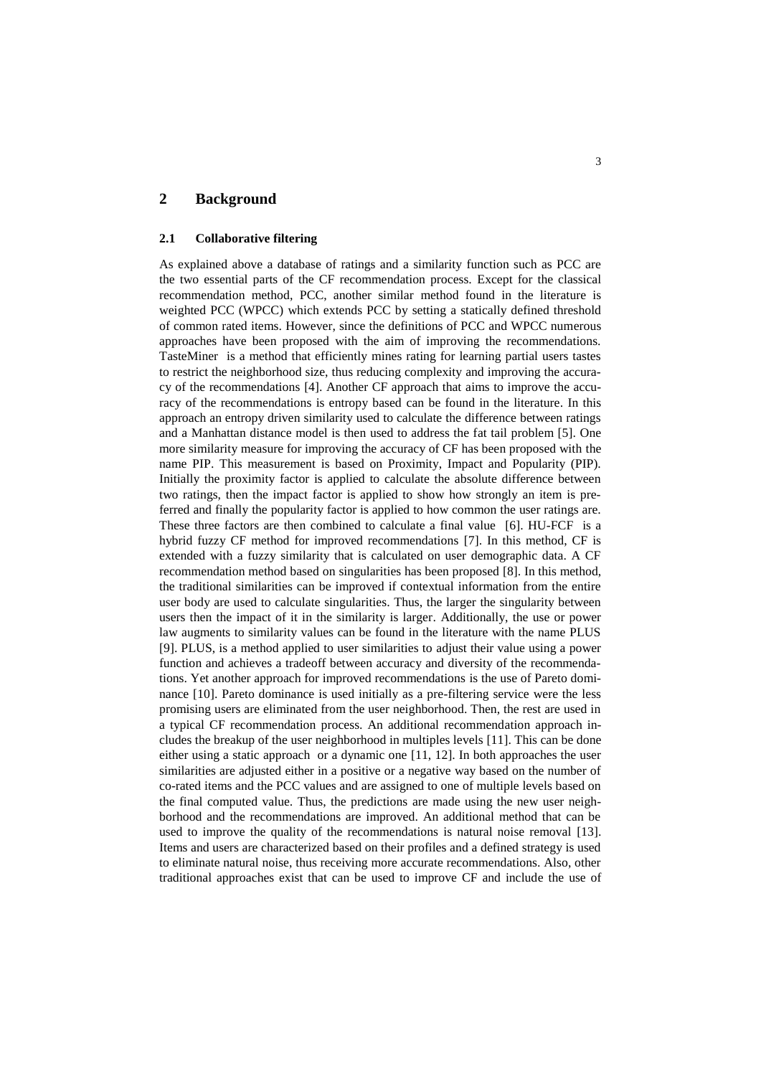## **2 Background**

#### **2.1 Collaborative filtering**

As explained above a database of ratings and a similarity function such as PCC are the two essential parts of the CF recommendation process. Except for the classical recommendation method, PCC, another similar method found in the literature is weighted PCC (WPCC) which extends PCC by setting a statically defined threshold of common rated items. However, since the definitions of PCC and WPCC numerous approaches have been proposed with the aim of improving the recommendations. TasteMiner is a method that efficiently mines rating for learning partial users tastes to restrict the neighborhood size, thus reducing complexity and improving the accuracy of the recommendations [4]. Another CF approach that aims to improve the accuracy of the recommendations is entropy based can be found in the literature. In this approach an entropy driven similarity used to calculate the difference between ratings and a Manhattan distance model is then used to address the fat tail problem [5]. One more similarity measure for improving the accuracy of CF has been proposed with the name PIP. This measurement is based on Proximity, Impact and Popularity (PIP). Initially the proximity factor is applied to calculate the absolute difference between two ratings, then the impact factor is applied to show how strongly an item is preferred and finally the popularity factor is applied to how common the user ratings are. These three factors are then combined to calculate a final value [6]. HU-FCF is a hybrid fuzzy CF method for improved recommendations [7]. In this method, CF is extended with a fuzzy similarity that is calculated on user demographic data. A CF recommendation method based on singularities has been proposed [8]. In this method, the traditional similarities can be improved if contextual information from the entire user body are used to calculate singularities. Thus, the larger the singularity between users then the impact of it in the similarity is larger. Additionally, the use or power law augments to similarity values can be found in the literature with the name PLUS [9]. PLUS, is a method applied to user similarities to adjust their value using a power function and achieves a tradeoff between accuracy and diversity of the recommendations. Yet another approach for improved recommendations is the use of Pareto dominance [10]. Pareto dominance is used initially as a pre-filtering service were the less promising users are eliminated from the user neighborhood. Then, the rest are used in a typical CF recommendation process. An additional recommendation approach includes the breakup of the user neighborhood in multiples levels [11]. This can be done either using a static approach or a dynamic one [11, 12]. In both approaches the user similarities are adjusted either in a positive or a negative way based on the number of co-rated items and the PCC values and are assigned to one of multiple levels based on the final computed value. Thus, the predictions are made using the new user neighborhood and the recommendations are improved. An additional method that can be used to improve the quality of the recommendations is natural noise removal [13]. Items and users are characterized based on their profiles and a defined strategy is used to eliminate natural noise, thus receiving more accurate recommendations. Also, other traditional approaches exist that can be used to improve CF and include the use of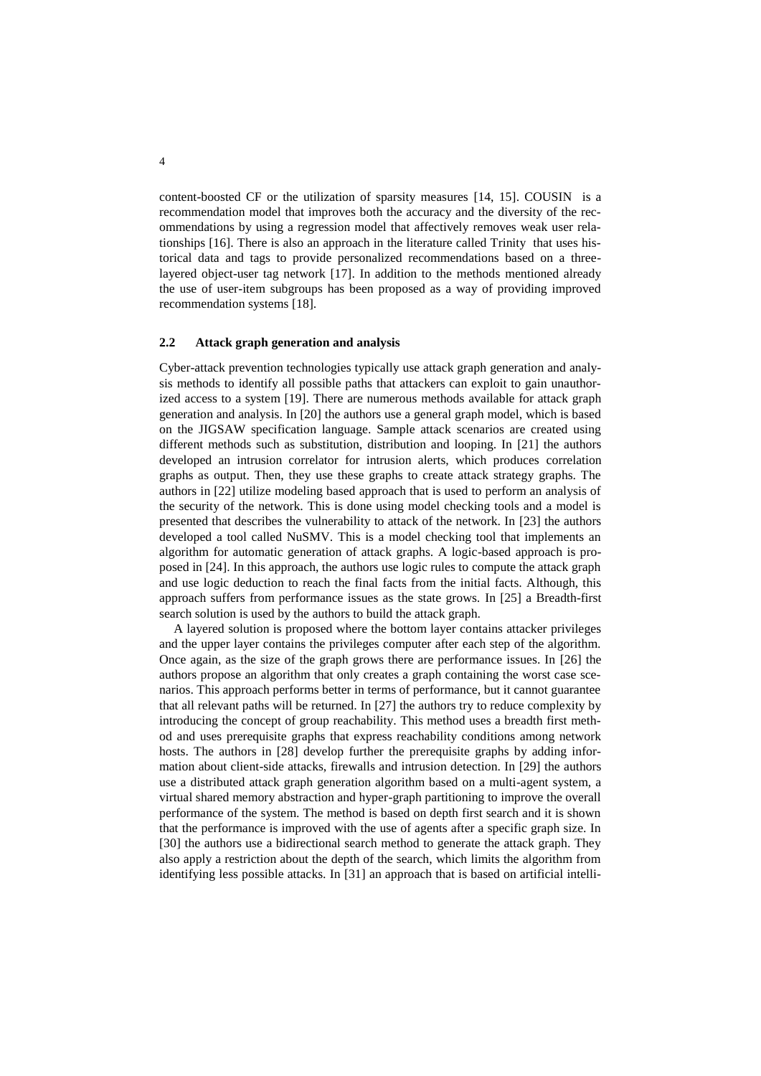content-boosted CF or the utilization of sparsity measures [14, 15]. COUSIN is a recommendation model that improves both the accuracy and the diversity of the recommendations by using a regression model that affectively removes weak user relationships [16]. There is also an approach in the literature called Trinity that uses historical data and tags to provide personalized recommendations based on a threelayered object-user tag network [17]. In addition to the methods mentioned already the use of user-item subgroups has been proposed as a way of providing improved recommendation systems [18].

#### **2.2 Attack graph generation and analysis**

Cyber-attack prevention technologies typically use attack graph generation and analysis methods to identify all possible paths that attackers can exploit to gain unauthorized access to a system [19]. There are numerous methods available for attack graph generation and analysis. In [20] the authors use a general graph model, which is based on the JIGSAW specification language. Sample attack scenarios are created using different methods such as substitution, distribution and looping. In [21] the authors developed an intrusion correlator for intrusion alerts, which produces correlation graphs as output. Then, they use these graphs to create attack strategy graphs. The authors in [22] utilize modeling based approach that is used to perform an analysis of the security of the network. This is done using model checking tools and a model is presented that describes the vulnerability to attack of the network. In [23] the authors developed a tool called NuSMV. This is a model checking tool that implements an algorithm for automatic generation of attack graphs. A logic-based approach is proposed in [24]. In this approach, the authors use logic rules to compute the attack graph and use logic deduction to reach the final facts from the initial facts. Although, this approach suffers from performance issues as the state grows. In [25] a Breadth-first search solution is used by the authors to build the attack graph.

A layered solution is proposed where the bottom layer contains attacker privileges and the upper layer contains the privileges computer after each step of the algorithm. Once again, as the size of the graph grows there are performance issues. In [26] the authors propose an algorithm that only creates a graph containing the worst case scenarios. This approach performs better in terms of performance, but it cannot guarantee that all relevant paths will be returned. In [27] the authors try to reduce complexity by introducing the concept of group reachability. This method uses a breadth first method and uses prerequisite graphs that express reachability conditions among network hosts. The authors in [28] develop further the prerequisite graphs by adding information about client-side attacks, firewalls and intrusion detection. In [29] the authors use a distributed attack graph generation algorithm based on a multi-agent system, a virtual shared memory abstraction and hyper-graph partitioning to improve the overall performance of the system. The method is based on depth first search and it is shown that the performance is improved with the use of agents after a specific graph size. In [30] the authors use a bidirectional search method to generate the attack graph. They also apply a restriction about the depth of the search, which limits the algorithm from identifying less possible attacks. In [31] an approach that is based on artificial intelli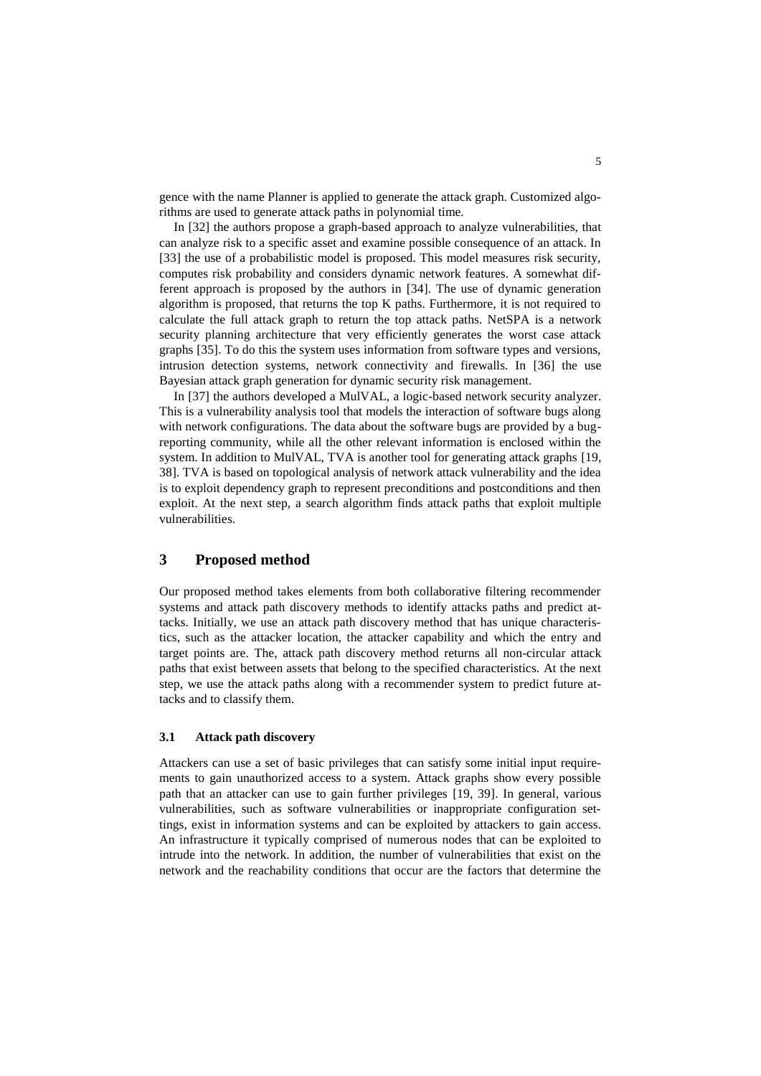gence with the name Planner is applied to generate the attack graph. Customized algorithms are used to generate attack paths in polynomial time.

In [32] the authors propose a graph-based approach to analyze vulnerabilities, that can analyze risk to a specific asset and examine possible consequence of an attack. In [33] the use of a probabilistic model is proposed. This model measures risk security, computes risk probability and considers dynamic network features. A somewhat different approach is proposed by the authors in [34]. The use of dynamic generation algorithm is proposed, that returns the top K paths. Furthermore, it is not required to calculate the full attack graph to return the top attack paths. NetSPA is a network security planning architecture that very efficiently generates the worst case attack graphs [35]. To do this the system uses information from software types and versions, intrusion detection systems, network connectivity and firewalls. In [36] the use Bayesian attack graph generation for dynamic security risk management.

In [37] the authors developed a MulVAL, a logic-based network security analyzer. This is a vulnerability analysis tool that models the interaction of software bugs along with network configurations. The data about the software bugs are provided by a bugreporting community, while all the other relevant information is enclosed within the system. In addition to MulVAL, TVA is another tool for generating attack graphs [19, 38]. TVA is based on topological analysis of network attack vulnerability and the idea is to exploit dependency graph to represent preconditions and postconditions and then exploit. At the next step, a search algorithm finds attack paths that exploit multiple vulnerabilities.

# **3 Proposed method**

Our proposed method takes elements from both collaborative filtering recommender systems and attack path discovery methods to identify attacks paths and predict attacks. Initially, we use an attack path discovery method that has unique characteristics, such as the attacker location, the attacker capability and which the entry and target points are. The, attack path discovery method returns all non-circular attack paths that exist between assets that belong to the specified characteristics. At the next step, we use the attack paths along with a recommender system to predict future attacks and to classify them.

#### **3.1 Attack path discovery**

Attackers can use a set of basic privileges that can satisfy some initial input requirements to gain unauthorized access to a system. Attack graphs show every possible path that an attacker can use to gain further privileges [19, 39]. In general, various vulnerabilities, such as software vulnerabilities or inappropriate configuration settings, exist in information systems and can be exploited by attackers to gain access. An infrastructure it typically comprised of numerous nodes that can be exploited to intrude into the network. In addition, the number of vulnerabilities that exist on the network and the reachability conditions that occur are the factors that determine the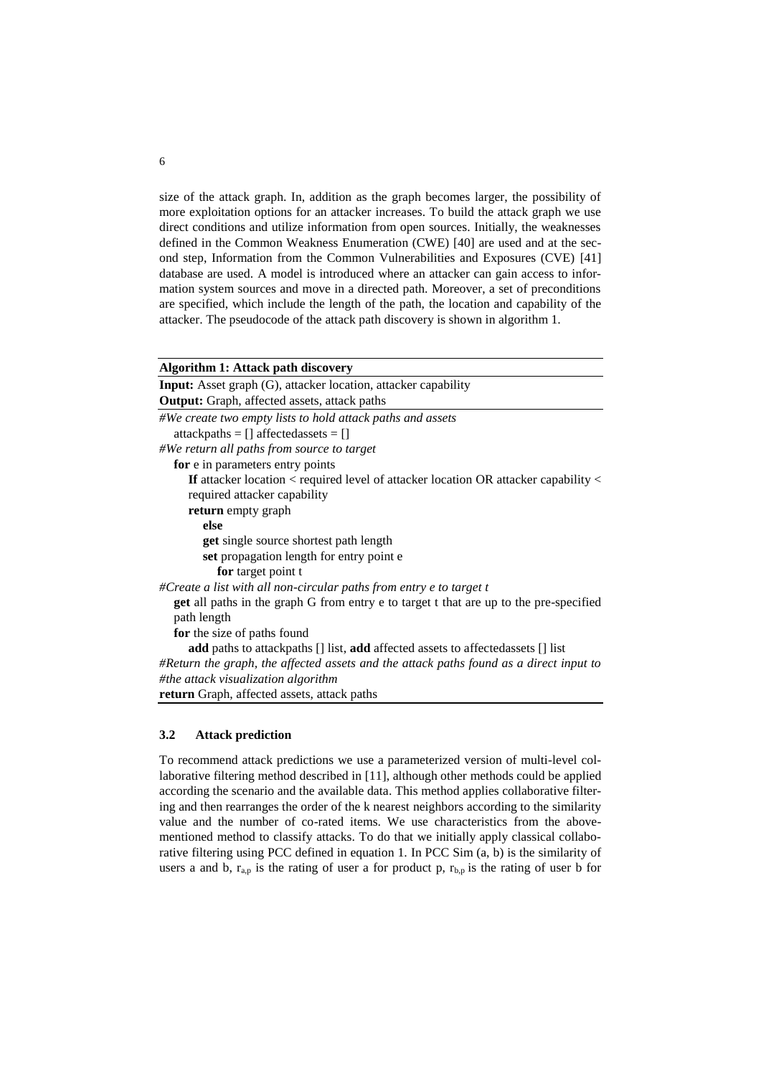size of the attack graph. In, addition as the graph becomes larger, the possibility of more exploitation options for an attacker increases. To build the attack graph we use direct conditions and utilize information from open sources. Initially, the weaknesses defined in the Common Weakness Enumeration (CWE) [40] are used and at the second step, Information from the Common Vulnerabilities and Exposures (CVE) [41] database are used. A model is introduced where an attacker can gain access to information system sources and move in a directed path. Moreover, a set of preconditions are specified, which include the length of the path, the location and capability of the attacker. The pseudocode of the attack path discovery is shown in algorithm 1.

|  | <b>Algorithm 1: Attack path discovery</b> |  |  |  |  |
|--|-------------------------------------------|--|--|--|--|
|--|-------------------------------------------|--|--|--|--|

| <b>Input:</b> Asset graph (G), attacker location, attacker capability                         |
|-----------------------------------------------------------------------------------------------|
| <b>Output:</b> Graph, affected assets, attack paths                                           |
| $\#We$ create two empty lists to hold attack paths and assets                                 |
| attackpaths = $\lceil$ affected assets = $\lceil$                                             |
| #We return all paths from source to target                                                    |
| for e in parameters entry points                                                              |
| <b>If</b> attacker location < required level of attacker location OR attacker capability <    |
| required attacker capability                                                                  |
| return empty graph                                                                            |
| else                                                                                          |
| <b>get</b> single source shortest path length                                                 |
| set propagation length for entry point e                                                      |
| for target point t                                                                            |
| #Create a list with all non-circular paths from entry e to target t                           |
| get all paths in the graph G from entry e to target t that are up to the pre-specified        |
| path length                                                                                   |
| for the size of paths found                                                                   |
| <b>add</b> paths to attackpaths [] list, <b>add</b> affected assets to affectedassets [] list |
| #Return the graph, the affected assets and the attack paths found as a direct input to        |
| #the attack visualization algorithm                                                           |
| <b>return</b> Graph, affected assets, attack paths                                            |

#### **3.2 Attack prediction**

To recommend attack predictions we use a parameterized version of multi-level collaborative filtering method described in [11], although other methods could be applied according the scenario and the available data. This method applies collaborative filtering and then rearranges the order of the k nearest neighbors according to the similarity value and the number of co-rated items. We use characteristics from the abovementioned method to classify attacks. To do that we initially apply classical collaborative filtering using PCC defined in equation 1. In PCC Sim (a, b) is the similarity of users a and b,  $r_{a,p}$  is the rating of user a for product p,  $r_{b,p}$  is the rating of user b for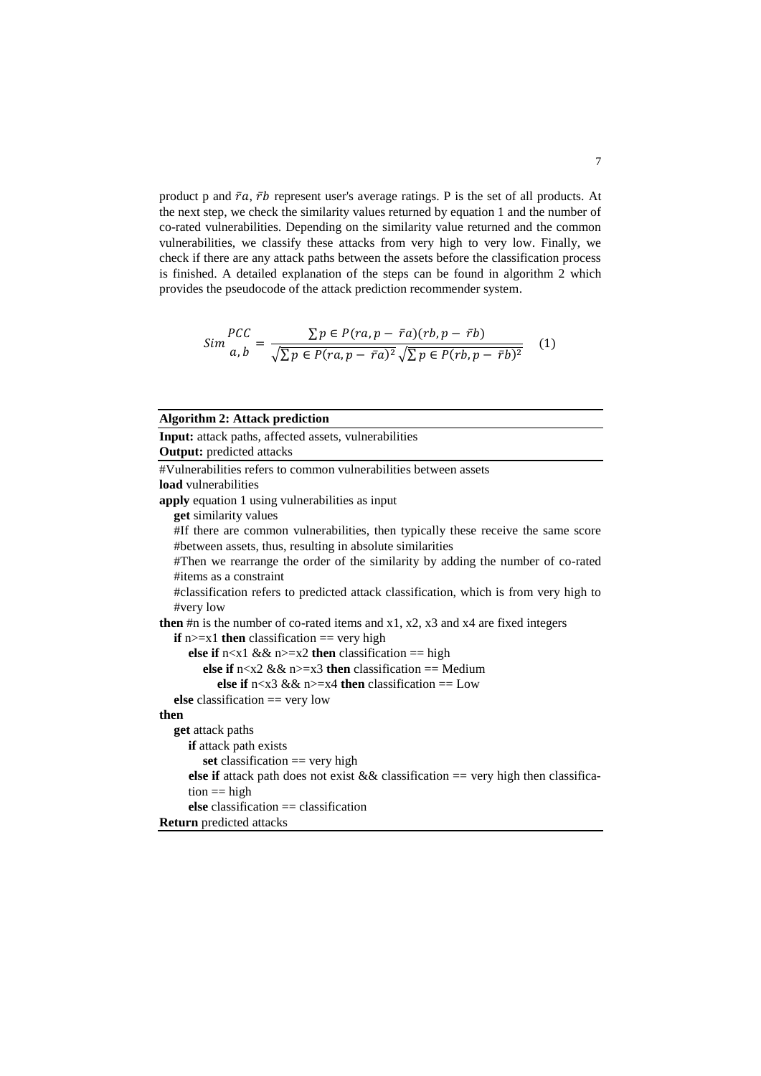product p and  $\bar{r}a$ ,  $\bar{r}b$  represent user's average ratings. P is the set of all products. At the next step, we check the similarity values returned by equation 1 and the number of co-rated vulnerabilities. Depending on the similarity value returned and the common vulnerabilities, we classify these attacks from very high to very low. Finally, we check if there are any attack paths between the assets before the classification process is finished. A detailed explanation of the steps can be found in algorithm 2 which provides the pseudocode of the attack prediction recommender system.

$$
Sim\frac{PCC}{a,b} = \frac{\sum p \in P(ra, p - \bar{r}a)(rb, p - \bar{r}b)}{\sqrt{\sum p \in P(ra, p - \bar{r}a)^2} \sqrt{\sum p \in P(rb, p - \bar{r}b)^2}} \quad (1)
$$

| <b>Algorithm 2: Attack prediction</b>                                                      |
|--------------------------------------------------------------------------------------------|
| Input: attack paths, affected assets, vulnerabilities                                      |
| <b>Output:</b> predicted attacks                                                           |
| #Vulnerabilities refers to common vulnerabilities between assets                           |
| <b>load</b> vulnerabilities                                                                |
| apply equation 1 using vulnerabilities as input                                            |
| get similarity values                                                                      |
| #If there are common vulnerabilities, then typically these receive the same score          |
| #between assets, thus, resulting in absolute similarities                                  |
| #Then we rearrange the order of the similarity by adding the number of co-rated            |
| #items as a constraint                                                                     |
| #classification refers to predicted attack classification, which is from very high to      |
| #very low                                                                                  |
| <b>then</b> $\#n$ is the number of co-rated items and x1, x2, x3 and x4 are fixed integers |
| if $n>=x1$ then classification == very high                                                |
| else if $n < x1$ & $\& n > = x2$ then classification == high                               |
| else if $n < x2 \& x \& n > = x3$ then classification == Medium                            |
| else if $n \le x \le 3 \&\& n \ge -x \le 4$ then classification == Low                     |
| else classification $==$ very low                                                          |
| then                                                                                       |
| get attack paths                                                                           |
| if attack path exists                                                                      |
| set classification $==$ very high                                                          |
| else if attack path does not exist & & classification $ ==$ very high then classifica-     |
| $tion == high$                                                                             |
| else classification $==$ classification                                                    |
| <b>Return</b> predicted attacks                                                            |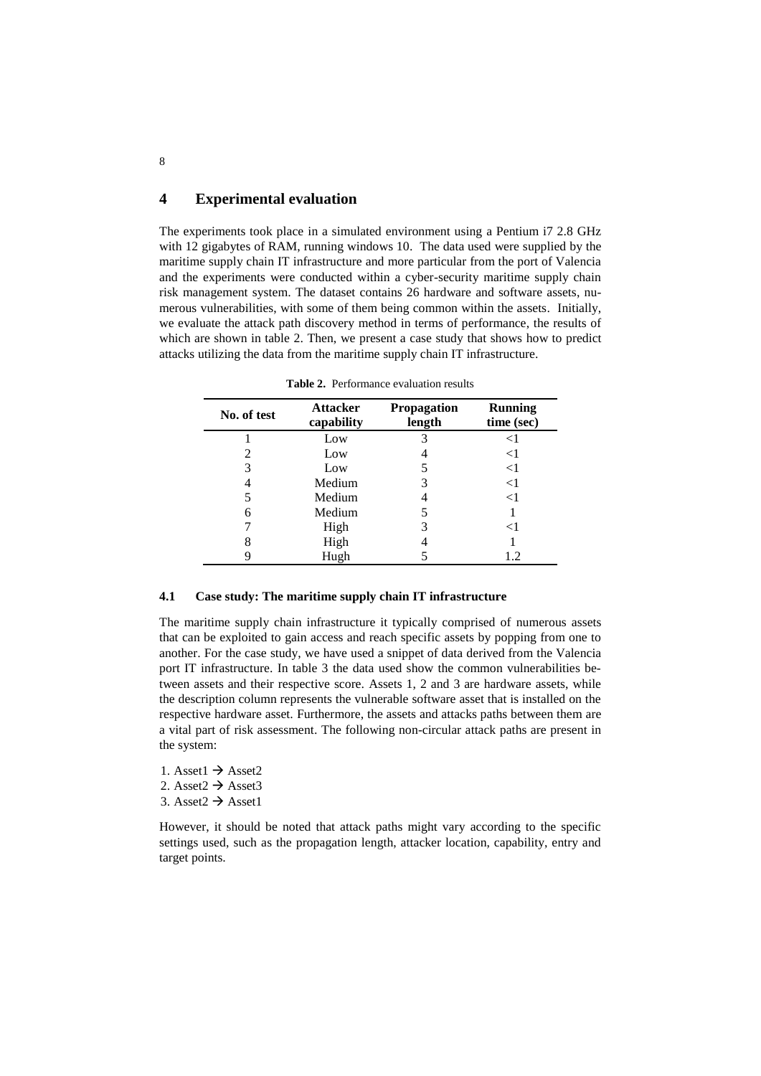### **4 Experimental evaluation**

The experiments took place in a simulated environment using a Pentium i7 2.8 GHz with 12 gigabytes of RAM, running windows 10. The data used were supplied by the maritime supply chain IT infrastructure and more particular from the port of Valencia and the experiments were conducted within a cyber-security maritime supply chain risk management system. The dataset contains 26 hardware and software assets, numerous vulnerabilities, with some of them being common within the assets. Initially, we evaluate the attack path discovery method in terms of performance, the results of which are shown in table 2. Then, we present a case study that shows how to predict attacks utilizing the data from the maritime supply chain IT infrastructure.

| No. of test | <b>Attacker</b><br>capability | Propagation<br>length | <b>Running</b><br>time (sec) |
|-------------|-------------------------------|-----------------------|------------------------------|
|             | Low                           | 3                     | $<$ 1                        |
|             | Low                           |                       | $<$ 1                        |
| 3           | Low                           | 5                     | $<$ 1                        |
| 4           | Medium                        | 3                     | $<$ 1                        |
|             | Medium                        |                       | $\leq$ 1                     |
| 6           | Medium                        |                       |                              |
|             | High                          | 3                     | $<$ 1                        |
| 8           | High                          |                       |                              |
|             | Hugh                          |                       | 1.2                          |

**Table 2.** Performance evaluation results

#### **4.1 Case study: The maritime supply chain IT infrastructure**

The maritime supply chain infrastructure it typically comprised of numerous assets that can be exploited to gain access and reach specific assets by popping from one to another. For the case study, we have used a snippet of data derived from the Valencia port IT infrastructure. In table 3 the data used show the common vulnerabilities between assets and their respective score. Assets 1, 2 and 3 are hardware assets, while the description column represents the vulnerable software asset that is installed on the respective hardware asset. Furthermore, the assets and attacks paths between them are a vital part of risk assessment. The following non-circular attack paths are present in the system:

- 1. Asset $1 \rightarrow$  Asset2
- 2. Asset2  $\rightarrow$  Asset3
- 3. Asset2  $\rightarrow$  Asset1

However, it should be noted that attack paths might vary according to the specific settings used, such as the propagation length, attacker location, capability, entry and target points.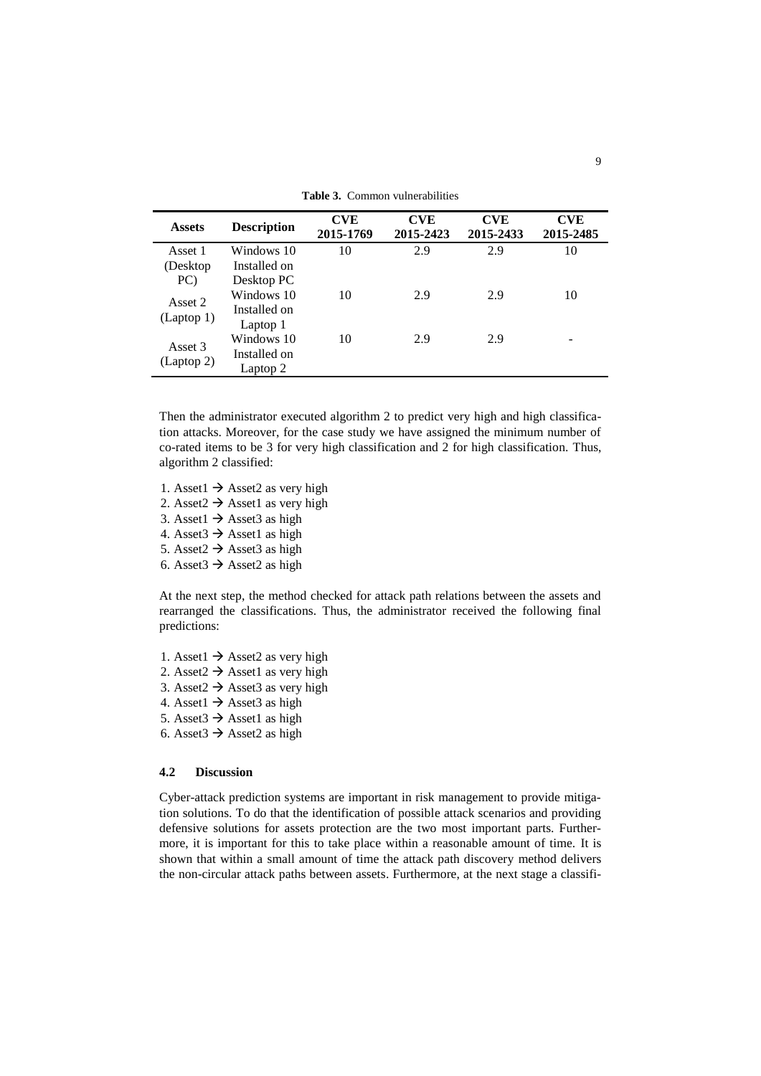| <b>Assets</b>         | <b>Description</b> | <b>CVE</b><br>2015-1769 | <b>CVE</b><br>2015-2423 | <b>CVE</b><br>2015-2433 | <b>CVE</b><br>2015-2485 |
|-----------------------|--------------------|-------------------------|-------------------------|-------------------------|-------------------------|
| Asset 1               | Windows 10         | 10                      | 2.9                     | 2.9                     | 10                      |
| (Desktop              | Installed on       |                         |                         |                         |                         |
| PC)                   | Desktop PC         |                         |                         |                         |                         |
| Asset 2<br>(Laptop 1) | Windows 10         | 10                      | 2.9                     | 2.9                     | 10                      |
|                       | Installed on       |                         |                         |                         |                         |
|                       | Laptop 1           |                         |                         |                         |                         |
| Asset 3<br>(Laptop 2) | Windows 10         | 10                      | 2.9                     | 2.9                     | -                       |
|                       | Installed on       |                         |                         |                         |                         |
|                       | Laptop 2           |                         |                         |                         |                         |

**Table 3.** Common vulnerabilities

Then the administrator executed algorithm 2 to predict very high and high classification attacks. Moreover, for the case study we have assigned the minimum number of co-rated items to be 3 for very high classification and 2 for high classification. Thus, algorithm 2 classified:

- 1. Asset1  $\rightarrow$  Asset2 as very high
- 2. Asset2  $\rightarrow$  Asset1 as very high
- 3. Asset1  $\rightarrow$  Asset3 as high
- 4. Asset $3 \rightarrow$  Asset1 as high
- 5. Asset2  $\rightarrow$  Asset3 as high
- 6. Asset $3 \rightarrow$  Asset2 as high

At the next step, the method checked for attack path relations between the assets and rearranged the classifications. Thus, the administrator received the following final predictions:

- 1. Asset1  $\rightarrow$  Asset2 as very high
- 2. Asset2  $\rightarrow$  Asset1 as very high
- 3. Asset2  $\rightarrow$  Asset3 as very high
- 4. Asset1  $\rightarrow$  Asset3 as high
- 5. Asset $3 \rightarrow$  Asset1 as high
- 6. Asset $3 \rightarrow$  Asset2 as high

#### **4.2 Discussion**

Cyber-attack prediction systems are important in risk management to provide mitigation solutions. To do that the identification of possible attack scenarios and providing defensive solutions for assets protection are the two most important parts. Furthermore, it is important for this to take place within a reasonable amount of time. It is shown that within a small amount of time the attack path discovery method delivers the non-circular attack paths between assets. Furthermore, at the next stage a classifi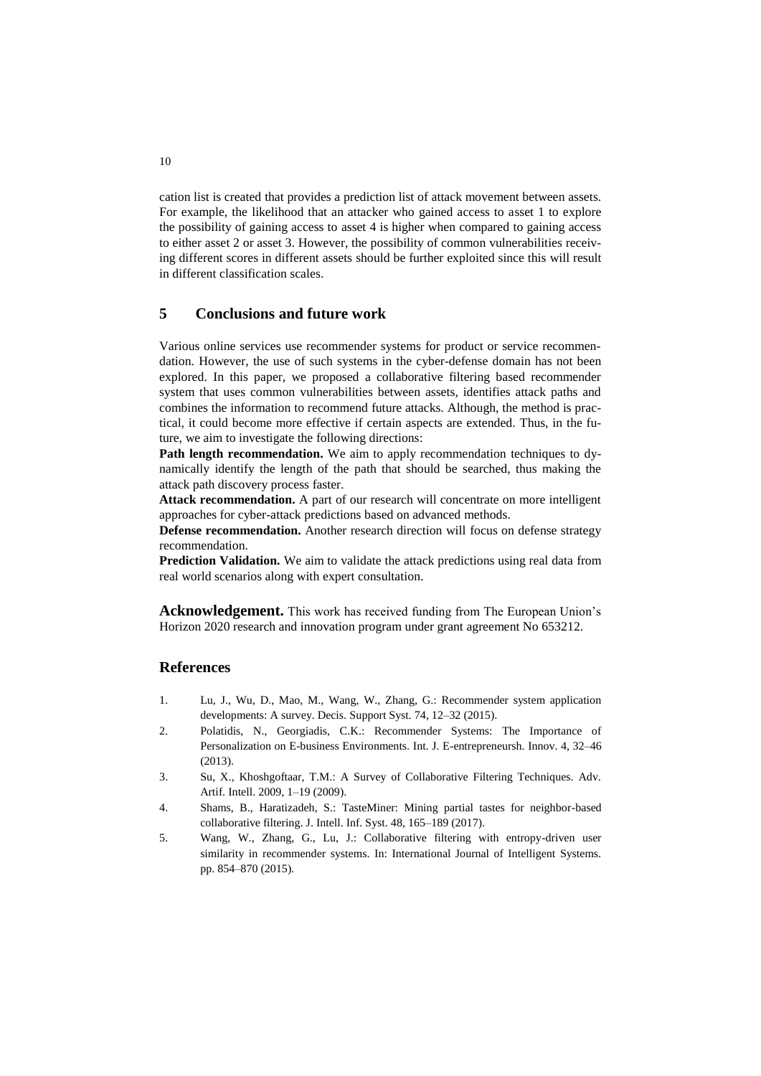cation list is created that provides a prediction list of attack movement between assets. For example, the likelihood that an attacker who gained access to asset 1 to explore the possibility of gaining access to asset 4 is higher when compared to gaining access to either asset 2 or asset 3. However, the possibility of common vulnerabilities receiving different scores in different assets should be further exploited since this will result in different classification scales.

# **5 Conclusions and future work**

Various online services use recommender systems for product or service recommendation. However, the use of such systems in the cyber-defense domain has not been explored. In this paper, we proposed a collaborative filtering based recommender system that uses common vulnerabilities between assets, identifies attack paths and combines the information to recommend future attacks. Although, the method is practical, it could become more effective if certain aspects are extended. Thus, in the future, we aim to investigate the following directions:

Path length **recommendation.** We aim to apply recommendation techniques to dynamically identify the length of the path that should be searched, thus making the attack path discovery process faster.

**Attack recommendation.** A part of our research will concentrate on more intelligent approaches for cyber-attack predictions based on advanced methods.

**Defense recommendation.** Another research direction will focus on defense strategy recommendation.

**Prediction Validation.** We aim to validate the attack predictions using real data from real world scenarios along with expert consultation.

**Acknowledgement.** This work has received funding from The European Union's Horizon 2020 research and innovation program under grant agreement No 653212.

### **References**

- 1. Lu, J., Wu, D., Mao, M., Wang, W., Zhang, G.: Recommender system application developments: A survey. Decis. Support Syst. 74, 12–32 (2015).
- 2. Polatidis, N., Georgiadis, C.K.: Recommender Systems: The Importance of Personalization on E-business Environments. Int. J. E-entrepreneursh. Innov. 4, 32–46 (2013).
- 3. Su, X., Khoshgoftaar, T.M.: A Survey of Collaborative Filtering Techniques. Adv. Artif. Intell. 2009, 1–19 (2009).
- 4. Shams, B., Haratizadeh, S.: TasteMiner: Mining partial tastes for neighbor-based collaborative filtering. J. Intell. Inf. Syst. 48, 165–189 (2017).
- 5. Wang, W., Zhang, G., Lu, J.: Collaborative filtering with entropy-driven user similarity in recommender systems. In: International Journal of Intelligent Systems. pp. 854–870 (2015).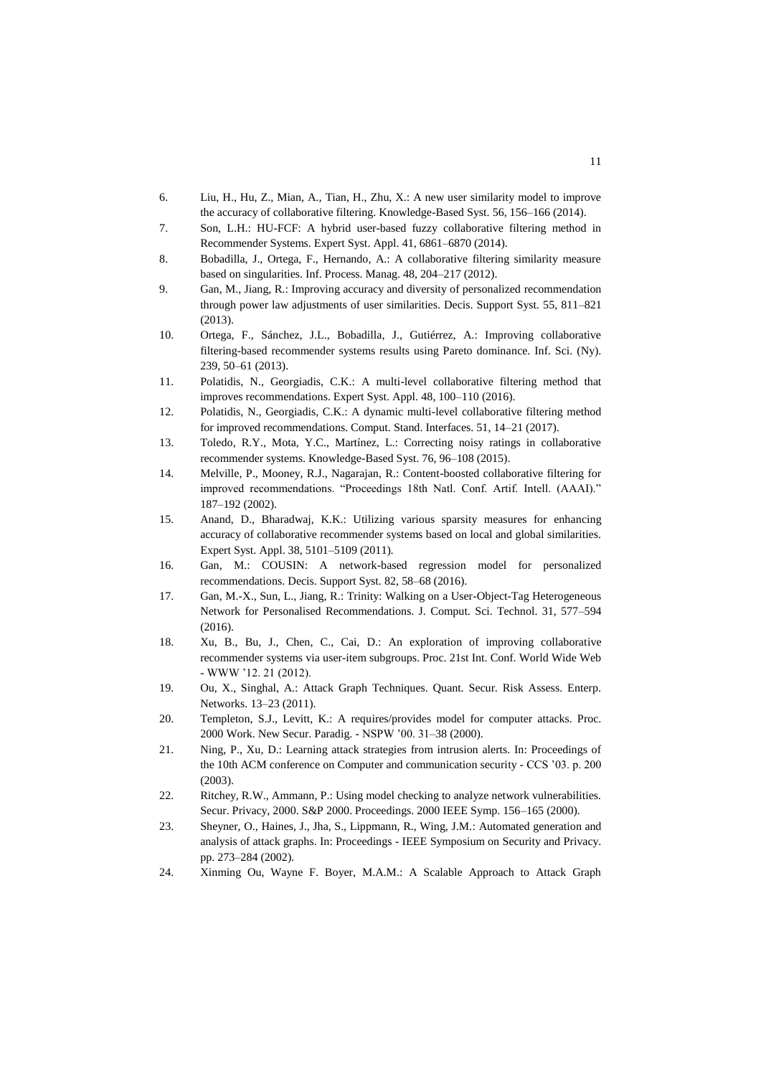- 6. Liu, H., Hu, Z., Mian, A., Tian, H., Zhu, X.: A new user similarity model to improve the accuracy of collaborative filtering. Knowledge-Based Syst. 56, 156–166 (2014).
- 7. Son, L.H.: HU-FCF: A hybrid user-based fuzzy collaborative filtering method in Recommender Systems. Expert Syst. Appl. 41, 6861–6870 (2014).
- 8. Bobadilla, J., Ortega, F., Hernando, A.: A collaborative filtering similarity measure based on singularities. Inf. Process. Manag. 48, 204–217 (2012).
- 9. Gan, M., Jiang, R.: Improving accuracy and diversity of personalized recommendation through power law adjustments of user similarities. Decis. Support Syst. 55, 811–821  $(2013)$ .
- 10. Ortega, F., Sánchez, J.L., Bobadilla, J., Gutiérrez, A.: Improving collaborative filtering-based recommender systems results using Pareto dominance. Inf. Sci. (Ny). 239, 50–61 (2013).
- 11. Polatidis, N., Georgiadis, C.K.: A multi-level collaborative filtering method that improves recommendations. Expert Syst. Appl. 48, 100–110 (2016).
- 12. Polatidis, N., Georgiadis, C.K.: A dynamic multi-level collaborative filtering method for improved recommendations. Comput. Stand. Interfaces. 51, 14–21 (2017).
- 13. Toledo, R.Y., Mota, Y.C., Martínez, L.: Correcting noisy ratings in collaborative recommender systems. Knowledge-Based Syst. 76, 96–108 (2015).
- 14. Melville, P., Mooney, R.J., Nagarajan, R.: Content-boosted collaborative filtering for improved recommendations. "Proceedings 18th Natl. Conf. Artif. Intell. (AAAI)." 187–192 (2002).
- 15. Anand, D., Bharadwaj, K.K.: Utilizing various sparsity measures for enhancing accuracy of collaborative recommender systems based on local and global similarities. Expert Syst. Appl. 38, 5101–5109 (2011).
- 16. Gan, M.: COUSIN: A network-based regression model for personalized recommendations. Decis. Support Syst. 82, 58–68 (2016).
- 17. Gan, M.-X., Sun, L., Jiang, R.: Trinity: Walking on a User-Object-Tag Heterogeneous Network for Personalised Recommendations. J. Comput. Sci. Technol. 31, 577–594 (2016).
- 18. Xu, B., Bu, J., Chen, C., Cai, D.: An exploration of improving collaborative recommender systems via user-item subgroups. Proc. 21st Int. Conf. World Wide Web - WWW '12. 21 (2012).
- 19. Ou, X., Singhal, A.: Attack Graph Techniques. Quant. Secur. Risk Assess. Enterp. Networks. 13–23 (2011).
- 20. Templeton, S.J., Levitt, K.: A requires/provides model for computer attacks. Proc. 2000 Work. New Secur. Paradig. - NSPW '00. 31–38 (2000).
- 21. Ning, P., Xu, D.: Learning attack strategies from intrusion alerts. In: Proceedings of the 10th ACM conference on Computer and communication security - CCS '03. p. 200 (2003).
- 22. Ritchey, R.W., Ammann, P.: Using model checking to analyze network vulnerabilities. Secur. Privacy, 2000. S&P 2000. Proceedings. 2000 IEEE Symp. 156–165 (2000).
- 23. Sheyner, O., Haines, J., Jha, S., Lippmann, R., Wing, J.M.: Automated generation and analysis of attack graphs. In: Proceedings - IEEE Symposium on Security and Privacy. pp. 273–284 (2002).
- 24. Xinming Ou, Wayne F. Boyer, M.A.M.: A Scalable Approach to Attack Graph